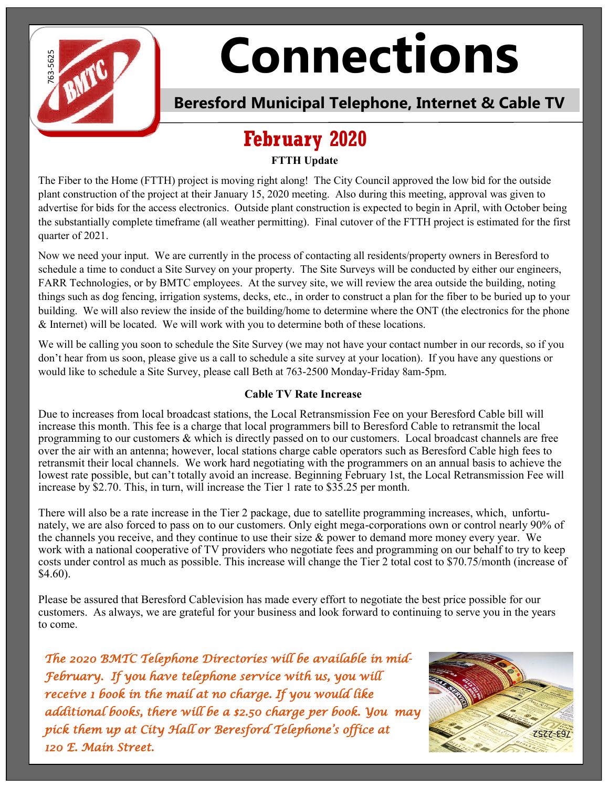

# **Connections**

### **Beresford Municipal Telephone, Internet & Cable TV**

## **February 2020**

#### **FTTH Update**

The Fiber to the Home (FTTH) project is moving right along! The City Council approved the low bid for the outside plant construction of the project at their January 15, 2020 meeting. Also during this meeting, approval was given to advertise for bids for the access electronics. Outside plant construction is expected to begin in April, with October being the substantially complete timeframe (all weather permitting). Final cutover of the FTTH project is estimated for the first quarter of 2021.

Now we need your input. We are currently in the process of contacting all residents/property owners in Beresford to schedule a time to conduct a Site Survey on your property. The Site Surveys will be conducted by either our engineers, FARR Technologies, or by BMTC employees. At the survey site, we will review the area outside the building, noting things such as dog fencing, irrigation systems, decks, etc., in order to construct a plan for the fiber to be buried up to your building. We will also review the inside of the building/home to determine where the ONT (the electronics for the phone & Internet) will be located. We will work with you to determine both of these locations.

We will be calling you soon to schedule the Site Survey (we may not have your contact number in our records, so if you don't hear from us soon, please give us a call to schedule a site survey at your location). If you have any questions or would like to schedule a Site Survey, please call Beth at 763-2500 Monday-Friday 8am-5pm.

#### **Cable TV Rate Increase**

Due to increases from local broadcast stations, the Local Retransmission Fee on your Beresford Cable bill will increase this month. This fee is a charge that local programmers bill to Beresford Cable to retransmit the local programming to our customers & which is directly passed on to our customers. Local broadcast channels are free over the air with an antenna; however, local stations charge cable operators such as Beresford Cable high fees to retransmit their local channels. We work hard negotiating with the programmers on an annual basis to achieve the lowest rate possible, but can't totally avoid an increase. Beginning February 1st, the Local Retransmission Fee will increase by \$2.70. This, in turn, will increase the Tier 1 rate to \$35.25 per month.

There will also be a rate increase in the Tier 2 package, due to satellite programming increases, which, unfortunately, we are also forced to pass on to our customers. Only eight mega-corporations own or control nearly 90% of the channels you receive, and they continue to use their size & power to demand more money every year. We work with a national cooperative of TV providers who negotiate fees and programming on our behalf to try to keep costs under control as much as possible. This increase will change the Tier 2 total cost to \$70.75/month (increase of \$4.60).

Please be assured that Beresford Cablevision has made every effort to negotiate the best price possible for our customers. As always, we are grateful for your business and look forward to continuing to serve you in the years to come.

*The 2020 BMTC Telephone Directories will be available in mid-February. If you have telephone service with us, you will receive 1 book in the mail at no charge. If you would like additional books, there will be a \$2.50 charge per book. You may pick them up at City Hall or Beresford Telephone's office at 120 E. Main Street.*